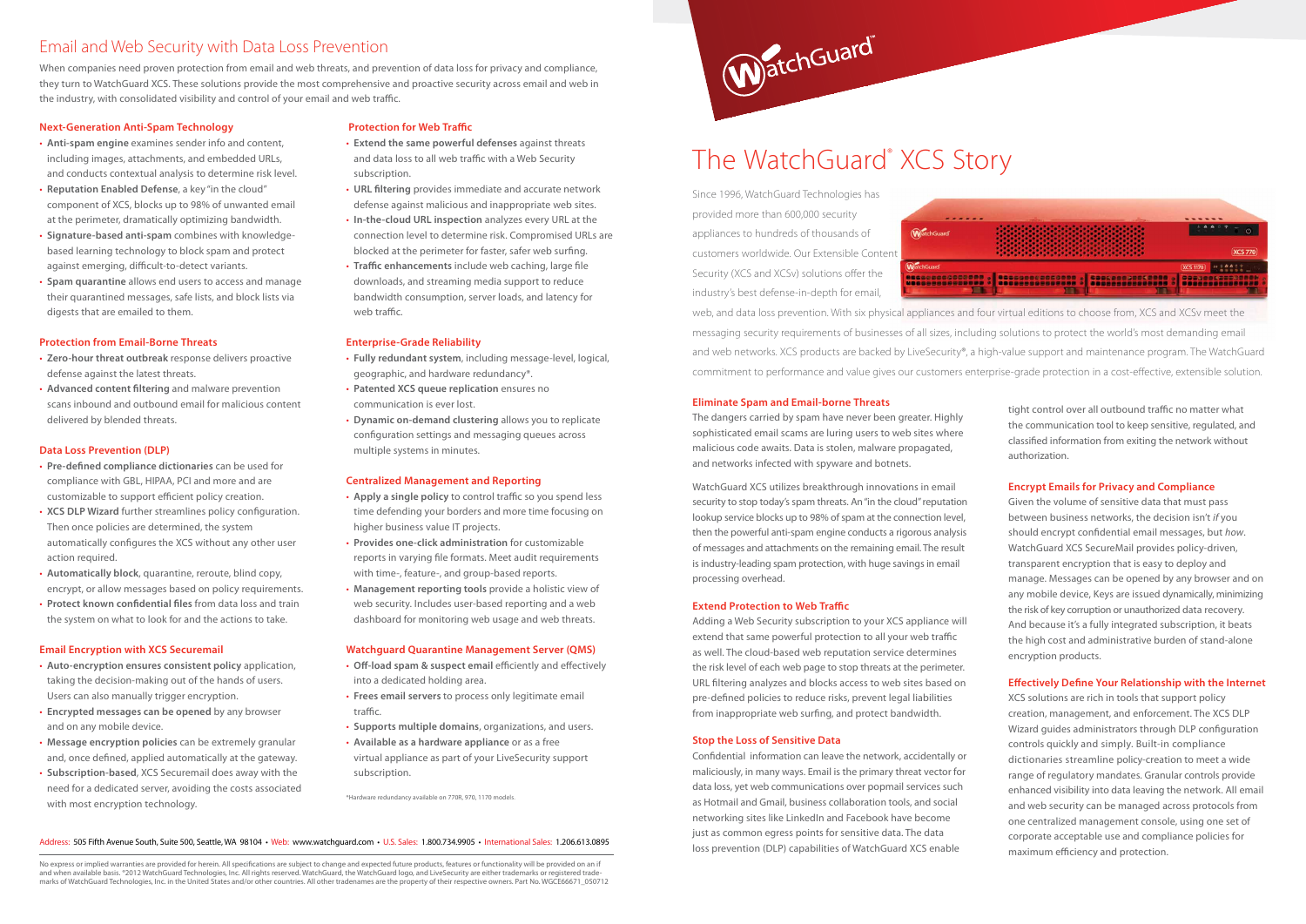## **Next-Generation Anti-Spam Technology**

- **Anti-spam engine** examines sender info and content, including images, attachments, and embedded URLs, and conducts contextual analysis to determine risk level.
- **Reputation Enabled Defense**, a key "in the cloud" component of XCS, blocks up to 98% of unwanted email at the perimeter, dramatically optimizing bandwidth.
- **Signature-based anti-spam** combines with knowledgebased learning technology to block spam and protect against emerging, difficult-to-detect variants.
- **Spam quarantine** allows end users to access and manage their quarantined messages, safe lists, and block lists via digests that are emailed to them.

## **Protection from Email-Borne Threats**

- **Zero-hour threat outbreak** response delivers proactive defense against the latest threats.
- **Advanced content filtering** and malware prevention scans inbound and outbound email for malicious content delivered by blended threats.

## **Data Loss Prevention (DLP)**

- **Pre-defined compliance dictionaries** can be used for compliance with GBL, HIPAA, PCI and more and are customizable to support efficient policy creation.
- **XCS DLP Wizard** further streamlines policy configuration. Then once policies are determined, the system automatically configures the XCS without any other user action required.
- **Automatically block**, quarantine, reroute, blind copy, encrypt, or allow messages based on policy requirements.
- **Protect known confidential files** from data loss and train the system on what to look for and the actions to take.

## **Email Encryption with XCS Securemail**

- **Auto-encryption ensures consistent policy** application, taking the decision-making out of the hands of users. Users can also manually trigger encryption.
- **Encrypted messages can be opened** by any browser and on any mobile device.
- **Message encryption policies** can be extremely granular and, once defined, applied automatically at the gateway.
- **Subscription-based**, XCS Securemail does away with the need for a dedicated server, avoiding the costs associated with most encryption technology.

## **Protection for Web Traffic**

When companies need proven protection from email and web threats, and prevention of data loss for privacy and compliance, they turn to WatchGuard XCS. These solutions provide the most comprehensive and proactive security across email and web in the industry, with consolidated visibility and control of your email and web traffic.

- **Extend the same powerful defenses** against threats and data loss to all web traffic with a Web Security subscription.
- **URL filtering** provides immediate and accurate network defense against malicious and inappropriate web sites.
- **In-the-cloud URL inspection** analyzes every URL at the connection level to determine risk. Compromised URLs are blocked at the perimeter for faster, safer web surfing.
- **Traffic enhancements** include web caching, large file downloads, and streaming media support to reduce bandwidth consumption, server loads, and latency for web traffic.

## **Enterprise-Grade Reliability**

- **Fully redundant system**, including message-level, logical, geographic, and hardware redundancy\*.
- **Patented XCS queue replication** ensures no communication is ever lost.
- **Dynamic on-demand clustering** allows you to replicate configuration settings and messaging queues across multiple systems in minutes.

corporate acceptable use and compliance policies for XCS solutions are rich in tools that support policy creation, management, and enforcement. The XCS DLP Wizard guides administrators through DLP configuration controls quickly and simply. Built-in compliance dictionaries streamline policy-creation to meet a wide range of regulatory mandates. Granular controls provide enhanced visibility into data leaving the network. All email and web security can be managed across protocols from one centralized management console, using one set of maximum efficiency and protection.

## **Centralized Management and Reporting**

- **Apply a single policy** to control traffic so you spend less time defending your borders and more time focusing on higher business value IT projects.
- **Provides one-click administration** for customizable reports in varying file formats. Meet audit requirements with time-, feature-, and group-based reports.
- **Management reporting tools** provide a holistic view of web security. Includes user-based reporting and a web dashboard for monitoring web usage and web threats.

No express or implied warranties are provided for herein. All specifications are subject to change and expected future products, features or functionality will be provided on an if and when available basis. ®2012 WatchGuard Technologies, Inc. All rights reserved. WatchGuard, the WatchGuard logo, and LiveSecurity are either trademarks or registered trademarks of WatchGuard Technologies, Inc. in the United States and/or other countries. All other tradenames are the property of their respective owners. Part No. WGCE66671\_050712



## **Watchguard Quarantine Management Server (QMS)**

- **Off-load spam & suspect email** efficiently and effectively into a dedicated holding area.
- **Frees email servers** to process only legitimate email traffic.
- **Supports multiple domains**, organizations, and users.
- **Available as a hardware appliance** or as a free virtual appliance as part of your LiveSecurity support subscription.

\*Hardware redundancy available on 770R, 970, 1170 models.

## Email and Web Security with Data Loss Prevention

tight control over all outbound traffic no matter what the communication tool to keep sensitive, regulated, and classified information from exiting the network without authorization.

## **Encrypt Emails for Privacy and Compliance**

Given the volume of sensitive data that must pass between business networks, the decision isn't *if* you should encrypt confidential email messages, but *how*. WatchGuard XCS SecureMail provides policy-driven, transparent encryption that is easy to deploy and manage. Messages can be opened by any browser and on any mobile device, Keys are issued dynamically, minimizing the risk of key corruption or unauthorized data recovery. And because it's a fully integrated subscription, it beats the high cost and administrative burden of stand-alone encryption products.

### **Effectively Define Your Relationship with the Internet**

## The WatchGuard® XCS Story

Since 1996, WatchGuard Technologies has provided more than 600,000 security appliances to hundreds of thousands of customers worldwide. Our Extensible Content Security (XCS and XCSv) solutions offer the industry's best defense-in-depth for email,



web, and data loss prevention. With six physical appliances and four virtual editions to choose from, XCS and XCSv meet the messaging security requirements of businesses of all sizes, including solutions to protect the world's most demanding email and web networks. XCS products are backed by LiveSecurity®, a high-value support and maintenance program. The WatchGuard commitment to performance and value gives our customers enterprise-grade protection in a cost-effective, extensible solution.

#### Address: 505 Fifth Avenue South, Suite 500, Seattle, WA 98104 • Web: www.watchguard.com • U.S. Sales: 1.800.734.9905 • International Sales: 1.206.613.0895

## **Eliminate Spam and Email-borne Threats**

The dangers carried by spam have never been greater. Highly sophisticated email scams are luring users to web sites where malicious code awaits. Data is stolen, malware propagated, and networks infected with spyware and botnets.

WatchGuard XCS utilizes breakthrough innovations in email security to stop today's spam threats. An "in the cloud" reputation lookup service blocks up to 98% of spam at the connection level, then the powerful anti-spam engine conducts a rigorous analysis of messages and attachments on the remaining email. The result is industry-leading spam protection, with huge savings in email processing overhead.

## **Extend Protection to Web Traffic**

Adding a Web Security subscription to your XCS appliance will extend that same powerful protection to all your web traffic as well. The cloud-based web reputation service determines the risk level of each web page to stop threats at the perimeter. URL filtering analyzes and blocks access to web sites based on pre-defined policies to reduce risks, prevent legal liabilities from inappropriate web surfing, and protect bandwidth.

## **Stop the Loss of Sensitive Data**

Confidential information can leave the network, accidentally or maliciously, in many ways. Email is the primary threat vector for data loss, yet web communications over popmail services such as Hotmail and Gmail, business collaboration tools, and social networking sites like LinkedIn and Facebook have become just as common egress points for sensitive data. The data loss prevention (DLP) capabilities of WatchGuard XCS enable